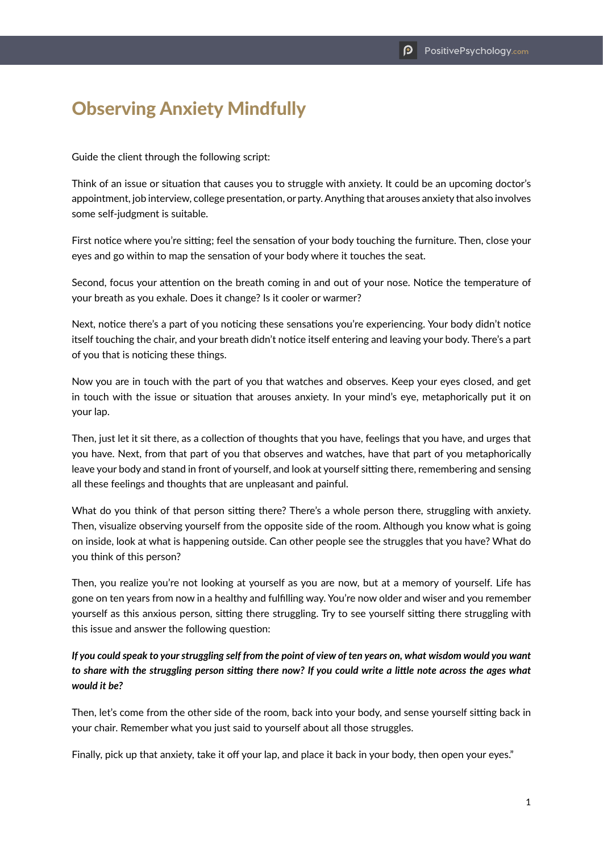## Observing Anxiety Mindfully

Guide the client through the following script:

Think of an issue or situation that causes you to struggle with anxiety. It could be an upcoming doctor's appointment, job interview, college presentation, or party. Anything that arouses anxiety that also involves some self-judgment is suitable.

First notice where you're sitting; feel the sensation of your body touching the furniture. Then, close your eyes and go within to map the sensation of your body where it touches the seat.

Second, focus your attention on the breath coming in and out of your nose. Notice the temperature of your breath as you exhale. Does it change? Is it cooler or warmer?

Next, notice there's a part of you noticing these sensations you're experiencing. Your body didn't notice itself touching the chair, and your breath didn't notice itself entering and leaving your body. There's a part of you that is noticing these things.

Now you are in touch with the part of you that watches and observes. Keep your eyes closed, and get in touch with the issue or situation that arouses anxiety. In your mind's eye, metaphorically put it on your lap.

Then, just let it sit there, as a collection of thoughts that you have, feelings that you have, and urges that you have. Next, from that part of you that observes and watches, have that part of you metaphorically leave your body and stand in front of yourself, and look at yourself sitting there, remembering and sensing all these feelings and thoughts that are unpleasant and painful.

What do you think of that person sitting there? There's a whole person there, struggling with anxiety. Then, visualize observing yourself from the opposite side of the room. Although you know what is going on inside, look at what is happening outside. Can other people see the struggles that you have? What do you think of this person?

Then, you realize you're not looking at yourself as you are now, but at a memory of yourself. Life has gone on ten years from now in a healthy and fulfilling way. You're now older and wiser and you remember yourself as this anxious person, sitting there struggling. Try to see yourself sitting there struggling with this issue and answer the following question:

## *If you could speak to your struggling self from the point of view of ten years on, what wisdom would you want to share with the struggling person sitting there now? If you could write a little note across the ages what would it be?*

Then, let's come from the other side of the room, back into your body, and sense yourself sitting back in your chair. Remember what you just said to yourself about all those struggles.

Finally, pick up that anxiety, take it off your lap, and place it back in your body, then open your eyes."